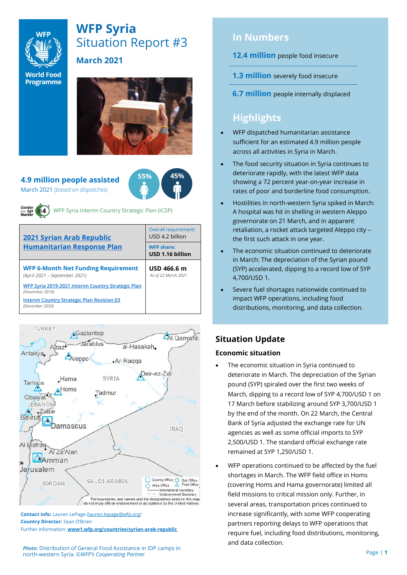

# **WFP Syria** Situation Report #3

**World Food Programme** 

# **March 2021**



#### **4.9 million people assisted**  March 2021 (*based on dispatches*)





WFP Syria Interim Country Strategic Plan (ICSP)

| <b>2021 Syrian Arab Republic</b>                                            | Overall requirement:<br>USD 4.2 billion |  |  |
|-----------------------------------------------------------------------------|-----------------------------------------|--|--|
| <b>Humanitarian Response Plan</b>                                           | <b>WFP share:</b><br>USD 1.16 billion   |  |  |
| <b>WFP 6-Month Net Funding Requirement</b><br>(April 2021 - September 2021) | USD 466.6 m<br>As of 22 March 2021      |  |  |
| WFP Syria 2019-2021 Interim Country Strategic Plan<br>(November 2018)       |                                         |  |  |
| <b>Interim Country Strategic Plan Revision 03</b><br>(December 2020)        |                                         |  |  |



**Contact info:** Lauren LePage [\(lauren.lepage@wfp.org\)](mailto:lauren.lepage@wfp.org) **Country Director:** Sean O'Brien Further information: **[www1.wfp.org/countries/syrian-arab-republic](file:///C:/Users/lauren.lepage/AppData/Local/Microsoft/Windows/INetCache/Content.Outlook/HTRVWXQN/www1.wfp.org/countries/syrian-arab-republic)**

*Photo:* Distribution of General Food Assistance in IDP camps in north-western Syria. ©*WFP's Cooperating Partner*

## **In Numbers**

## **12.4 million** people food insecure

- **1.3 million** severely food insecure
- **6.7 million** people internally displaced

# **Highlights**

- WFP dispatched humanitarian assistance sufficient for an estimated 4.9 million people across all activities in Syria in March.
- The food security situation in Syria continues to deteriorate rapidly, with the latest WFP data showing a 72 percent year-on-year increase in rates of poor and borderline food consumption.
- Hostilities in north-western Syria spiked in March: A hospital was hit in shelling in western Aleppo governorate on 21 March, and in apparent retaliation, a rocket attack targeted Aleppo city – the first such attack in one year.
- The economic situation continued to deteriorate in March: The depreciation of the Syrian pound (SYP) accelerated, dipping to a record low of SYP 4,700/USD 1.
- Severe fuel shortages nationwide continued to impact WFP operations, including food distributions, monitoring, and data collection.

## **Situation Update**

## **Economic situation**

- The economic situation in Syria continued to deteriorate in March. The depreciation of the Syrian pound (SYP) spiraled over the first two weeks of March, dipping to a record low of SYP 4,700/USD 1 on 17 March before stabilizing around SYP 3,700/USD 1 by the end of the month. On 22 March, the Central Bank of Syria adjusted the exchange rate for UN agencies as well as some official imports to SYP 2,500/USD 1. The standard official exchange rate remained at SYP 1,250/USD 1.
- WFP operations continued to be affected by the fuel shortages in March. The WFP field office in Homs (covering Homs and Hama governorate) limited all field missions to critical mission only. Further, in several areas, transportation prices continued to increase significantly, with some WFP cooperating partners reporting delays to WFP operations that require fuel, including food distributions, monitoring, and data collection.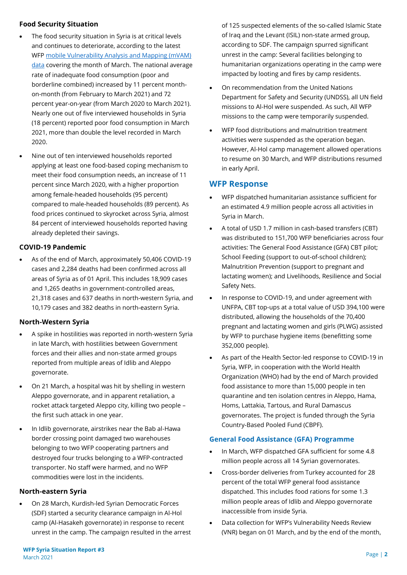## **Food Security Situation**

- The food security situation in Syria is at critical levels and continues to deteriorate, according to the latest WFP [mobile Vulnerability Analysis and Mapping \(mVAM\)](https://api.godocs.wfp.org/api/documents/WFP-0000126756/download/)  [data](https://api.godocs.wfp.org/api/documents/WFP-0000126756/download/) covering the month of March. The national average rate of inadequate food consumption (poor and borderline combined) increased by 11 percent monthon-month (from February to March 2021) and 72 percent year-on-year (from March 2020 to March 2021). Nearly one out of five interviewed households in Syria (18 percent) reported poor food consumption in March 2021, more than double the level recorded in March 2020.
- Nine out of ten interviewed households reported applying at least one food-based coping mechanism to meet their food consumption needs, an increase of 11 percent since March 2020, with a higher proportion among female-headed households (95 percent) compared to male-headed households (89 percent). As food prices continued to skyrocket across Syria, almost 84 percent of interviewed households reported having already depleted their savings.

## **COVID-19 Pandemic**

• As of the end of March, approximately 50,406 COVID-19 cases and 2,284 deaths had been confirmed across all areas of Syria as of 01 April. This includes 18,909 cases and 1,265 deaths in government-controlled areas, 21,318 cases and 637 deaths in north-western Syria, and 10,179 cases and 382 deaths in north-eastern Syria.

## **North-Western Syria**

- A spike in hostilities was reported in north-western Syria in late March, with hostilities between Government forces and their allies and non-state armed groups reported from multiple areas of Idlib and Aleppo governorate.
- On 21 March, a hospital was hit by shelling in western Aleppo governorate, and in apparent retaliation, a rocket attack targeted Aleppo city, killing two people – the first such attack in one year.
- In Idlib governorate, airstrikes near the Bab al-Hawa border crossing point damaged two warehouses belonging to two WFP cooperating partners and destroyed four trucks belonging to a WFP-contracted transporter. No staff were harmed, and no WFP commodities were lost in the incidents.

## **North-eastern Syria**

• On 28 March, Kurdish-led Syrian Democratic Forces (SDF) started a security clearance campaign in Al-Hol camp (Al-Hasakeh governorate) in response to recent unrest in the camp. The campaign resulted in the arrest

- On recommendation from the United Nations Department for Safety and Security (UNDSS), all UN field missions to Al-Hol were suspended. As such, All WFP missions to the camp were temporarily suspended.
- WFP food distributions and malnutrition treatment activities were suspended as the operation began. However, Al-Hol camp management allowed operations to resume on 30 March, and WFP distributions resumed in early April.

## **WFP Response**

- WFP dispatched humanitarian assistance sufficient for an estimated 4.9 million people across all activities in Syria in March.
- A total of USD 1.7 million in cash-based transfers (CBT) was distributed to 151,700 WFP beneficiaries across four activities: The General Food Assistance (GFA) CBT pilot; School Feeding (support to out-of-school children); Malnutrition Prevention (support to pregnant and lactating women); and Livelihoods, Resilience and Social Safety Nets.
- In response to COVID-19, and under agreement with UNFPA, CBT top-ups at a total value of USD 394,100 were distributed, allowing the households of the 70,400 pregnant and lactating women and girls (PLWG) assisted by WFP to purchase hygiene items (benefitting some 352,000 people).
- As part of the Health Sector-led response to COVID-19 in Syria, WFP, in cooperation with the World Health Organization (WHO) had by the end of March provided food assistance to more than 15,000 people in ten quarantine and ten isolation centres in Aleppo, Hama, Homs, Lattakia, Tartous, and Rural Damascus governorates. The project is funded through the Syria Country-Based Pooled Fund (CBPF).

## **General Food Assistance (GFA) Programme**

- In March, WFP dispatched GFA sufficient for some 4.8 million people across all 14 Syrian governorates.
- Cross-border deliveries from Turkey accounted for 28 percent of the total WFP general food assistance dispatched. This includes food rations for some 1.3 million people areas of Idlib and Aleppo governorate inaccessible from inside Syria.
- Data collection for WFP's Vulnerability Needs Review (VNR) began on 01 March, and by the end of the month,